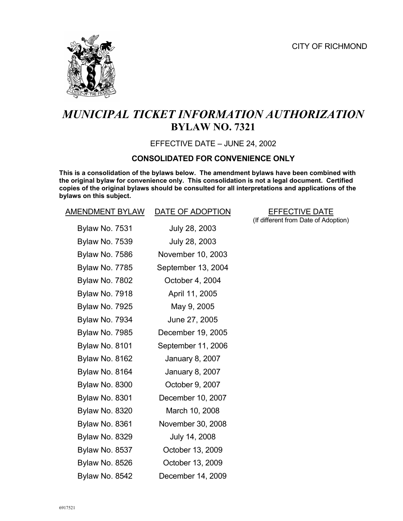

# *MUNICIPAL TICKET INFORMATION AUTHORIZATION*  **BYLAW NO. 7321**

EFFECTIVE DATE – JUNE 24, 2002

#### **CONSOLIDATED FOR CONVENIENCE ONLY**

**This is a consolidation of the bylaws below. The amendment bylaws have been combined with the original bylaw for convenience only. This consolidation is not a legal document. Certified copies of the original bylaws should be consulted for all interpretations and applications of the bylaws on this subject.**

| <b>AMENDMENT BYLAW</b> | DATE OF ADOPTION       | <b>EFFECTIVE DATE</b>           |
|------------------------|------------------------|---------------------------------|
| Bylaw No. 7531         | July 28, 2003          | (If different from Date of Adop |
| Bylaw No. 7539         | July 28, 2003          |                                 |
| Bylaw No. 7586         | November 10, 2003      |                                 |
| Bylaw No. 7785         | September 13, 2004     |                                 |
| Bylaw No. 7802         | October 4, 2004        |                                 |
| Bylaw No. 7918         | April 11, 2005         |                                 |
| Bylaw No. 7925         | May 9, 2005            |                                 |
| Bylaw No. 7934         | June 27, 2005          |                                 |
| Bylaw No. 7985         | December 19, 2005      |                                 |
| <b>Bylaw No. 8101</b>  | September 11, 2006     |                                 |
| Bylaw No. 8162         | <b>January 8, 2007</b> |                                 |
| Bylaw No. 8164         | January 8, 2007        |                                 |
| Bylaw No. 8300         | October 9, 2007        |                                 |
| Bylaw No. 8301         | December 10, 2007      |                                 |
| Bylaw No. 8320         | March 10, 2008         |                                 |
| Bylaw No. 8361         | November 30, 2008      |                                 |
| Bylaw No. 8329         | July 14, 2008          |                                 |
| Bylaw No. 8537         | October 13, 2009       |                                 |
| <b>Bylaw No. 8526</b>  | October 13, 2009       |                                 |
| Bylaw No. 8542         | December 14, 2009      |                                 |

(If different from Date of Adoption)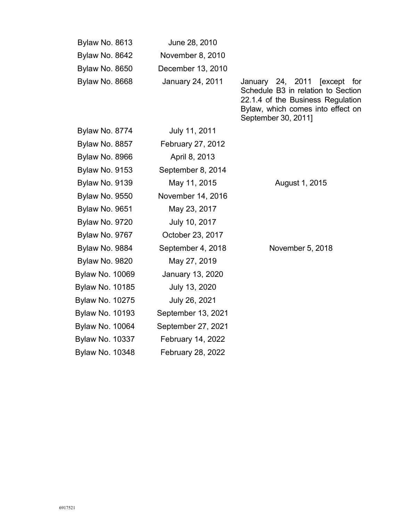| Bylaw No. 8613         | June 28, 2010           |                                                                                                                                                                                  |
|------------------------|-------------------------|----------------------------------------------------------------------------------------------------------------------------------------------------------------------------------|
| Bylaw No. 8642         | November 8, 2010        |                                                                                                                                                                                  |
| Bylaw No. 8650         | December 13, 2010       |                                                                                                                                                                                  |
| Bylaw No. 8668         | January 24, 2011        | January 24, 2011<br><b>[except</b><br>for<br>Schedule B3 in relation to Section<br>22.1.4 of the Business Regulation<br>Bylaw, which comes into effect on<br>September 30, 2011] |
| Bylaw No. 8774         | July 11, 2011           |                                                                                                                                                                                  |
| Bylaw No. 8857         | February 27, 2012       |                                                                                                                                                                                  |
| Bylaw No. 8966         | April 8, 2013           |                                                                                                                                                                                  |
| Bylaw No. 9153         | September 8, 2014       |                                                                                                                                                                                  |
| Bylaw No. 9139         | May 11, 2015            | August 1, 2015                                                                                                                                                                   |
| <b>Bylaw No. 9550</b>  | November 14, 2016       |                                                                                                                                                                                  |
| Bylaw No. 9651         | May 23, 2017            |                                                                                                                                                                                  |
| Bylaw No. 9720         | July 10, 2017           |                                                                                                                                                                                  |
| Bylaw No. 9767         | October 23, 2017        |                                                                                                                                                                                  |
| Bylaw No. 9884         | September 4, 2018       | November 5, 2018                                                                                                                                                                 |
| Bylaw No. 9820         | May 27, 2019            |                                                                                                                                                                                  |
| <b>Bylaw No. 10069</b> | <b>January 13, 2020</b> |                                                                                                                                                                                  |
| <b>Bylaw No. 10185</b> | July 13, 2020           |                                                                                                                                                                                  |
| <b>Bylaw No. 10275</b> | July 26, 2021           |                                                                                                                                                                                  |
| <b>Bylaw No. 10193</b> | September 13, 2021      |                                                                                                                                                                                  |
| <b>Bylaw No. 10064</b> | September 27, 2021      |                                                                                                                                                                                  |
| <b>Bylaw No. 10337</b> | February 14, 2022       |                                                                                                                                                                                  |
| <b>Bylaw No. 10348</b> | February 28, 2022       |                                                                                                                                                                                  |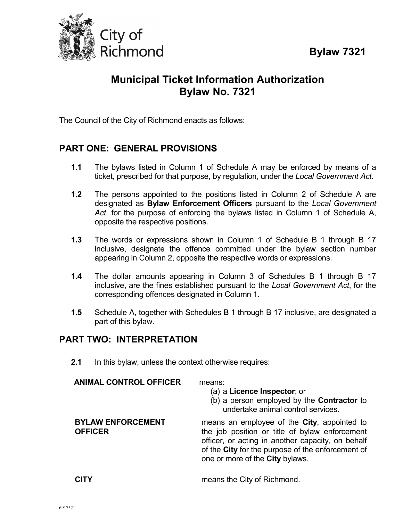

# **Municipal Ticket Information Authorization Bylaw No. 7321**

The Council of the City of Richmond enacts as follows:

# **PART ONE: GENERAL PROVISIONS**

- **1.1** The bylaws listed in Column 1 of Schedule A may be enforced by means of a ticket, prescribed for that purpose, by regulation, under the *Local Government Act*.
- **1.2** The persons appointed to the positions listed in Column 2 of Schedule A are designated as **Bylaw Enforcement Officers** pursuant to the *Local Government Act*, for the purpose of enforcing the bylaws listed in Column 1 of Schedule A, opposite the respective positions.
- **1.3** The words or expressions shown in Column 1 of Schedule B 1 through B 17 inclusive, designate the offence committed under the bylaw section number appearing in Column 2, opposite the respective words or expressions.
- **1.4** The dollar amounts appearing in Column 3 of Schedules B 1 through B 17 inclusive, are the fines established pursuant to the *Local Government Act*, for the corresponding offences designated in Column 1.
- **1.5** Schedule A, together with Schedules B 1 through B 17 inclusive, are designated a part of this bylaw.

# **PART TWO: INTERPRETATION**

**2.1** In this bylaw, unless the context otherwise requires:

| ANIMAL CONTROL OFFICER                     | means:<br>(a) a Licence Inspector; or<br>(b) a person employed by the <b>Contractor</b> to<br>undertake animal control services.                                                                                                           |
|--------------------------------------------|--------------------------------------------------------------------------------------------------------------------------------------------------------------------------------------------------------------------------------------------|
| <b>BYLAW ENFORCEMENT</b><br><b>OFFICER</b> | means an employee of the City, appointed to<br>the job position or title of bylaw enforcement<br>officer, or acting in another capacity, on behalf<br>of the City for the purpose of the enforcement of<br>one or more of the City bylaws. |
|                                            | means the City of Richmond.                                                                                                                                                                                                                |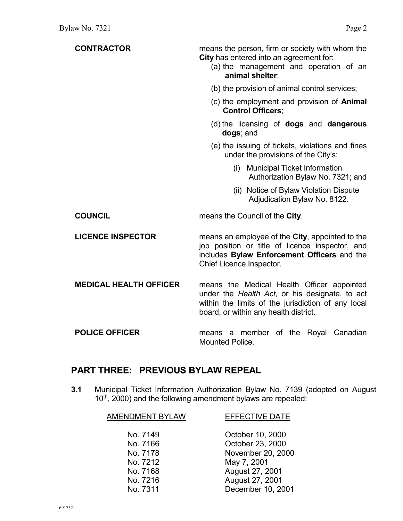| <b>CONTRACTOR</b>             | means the person, firm or society with whom the<br>City has entered into an agreement for:<br>(a) the management and operation of an<br>animal shelter:                                     |
|-------------------------------|---------------------------------------------------------------------------------------------------------------------------------------------------------------------------------------------|
|                               | (b) the provision of animal control services;                                                                                                                                               |
|                               | (c) the employment and provision of <b>Animal</b><br><b>Control Officers:</b>                                                                                                               |
|                               | (d) the licensing of <b>dogs</b> and <b>dangerous</b><br>dogs; and                                                                                                                          |
|                               | (e) the issuing of tickets, violations and fines<br>under the provisions of the City's:                                                                                                     |
|                               | <b>Municipal Ticket Information</b><br>(i)<br>Authorization Bylaw No. 7321; and                                                                                                             |
|                               | (ii) Notice of Bylaw Violation Dispute<br>Adjudication Bylaw No. 8122.                                                                                                                      |
| <b>COUNCIL</b>                | means the Council of the City.                                                                                                                                                              |
| <b>LICENCE INSPECTOR</b>      | means an employee of the City, appointed to the<br>job position or title of licence inspector, and<br>includes Bylaw Enforcement Officers and the<br>Chief Licence Inspector.               |
| <b>MEDICAL HEALTH OFFICER</b> | means the Medical Health Officer appointed<br>under the Health Act, or his designate, to act<br>within the limits of the jurisdiction of any local<br>board, or within any health district. |
| <b>POLICE OFFICER</b>         | means a member of the Royal Canadian<br><b>Mounted Police.</b>                                                                                                                              |

# **PART THREE: PREVIOUS BYLAW REPEAL**

**3.1** Municipal Ticket Information Authorization Bylaw No. 7139 (adopted on August 10<sup>th</sup>, 2000) and the following amendment bylaws are repealed:

| <b>AMENDMENT BYLAW</b> | <b>EFFECTIVE DATE</b> |
|------------------------|-----------------------|
| No. 7149               | October 10, 2000      |
| No. 7166               | October 23, 2000      |
| No. 7178               | November 20, 2000     |
| No. 7212               | May 7, 2001           |
| No. 7168               | August 27, 2001       |
| No. 7216               | August 27, 2001       |
| No. 7311               | December 10, 2001     |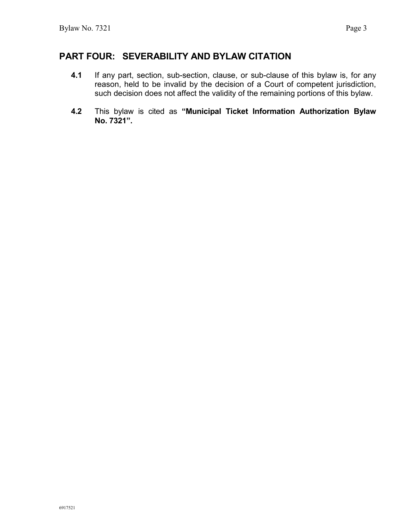- **4.1** If any part, section, sub-section, clause, or sub-clause of this bylaw is, for any reason, held to be invalid by the decision of a Court of competent jurisdiction, such decision does not affect the validity of the remaining portions of this bylaw.
- **4.2** This bylaw is cited as **"Municipal Ticket Information Authorization Bylaw No. 7321".**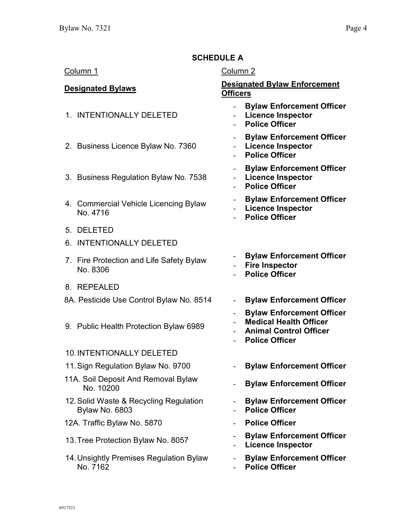# **SCHEDULE A**

#### Column 1 Column 2

- 1. INTENTIONALLY DELETED
- 2. Business Licence Bylaw No. 7360
- 3. Business Regulation Bylaw No. 7538
- 4. Commercial Vehicle Licencing Bylaw No. 4716
- 5. DELETED
- 6. INTENTIONALLY DELETED
- 7. Fire Protection and Life Safety Bylaw No. 8306
- 8. REPEALED
- 8A. Pesticide Use Control Bylaw No. 8514 **Bylaw Enforcement Officer**
- 9. Public Health Protection Bylaw 6989

#### 10.INTENTIONALLY DELETED

- 11.Sign Regulation Bylaw No. 9700 **Bylaw Enforcement Officer**
- 11A. Soil Deposit And Removal Bylaw No. 10200 - **Bylaw Enforcement Officer**
- 12.Solid Waste & Recycling Regulation Bylaw No. 6803
- 12A. Traffic Bylaw No. 5870 **Police Officer**
- 13.Tree Protection Bylaw No. 8057 **Bylaw Enforcement Officer**
- 14.Unsightly Premises Regulation Bylaw No. 7162

#### **Designated Bylaws Designated Bylaw Enforcement Officers**

- **Bylaw Enforcement Officer**
- **Licence Inspector**
- **Police Officer**
- **Bylaw Enforcement Officer**
- **Licence Inspector**
- **Police Officer**
- **Bylaw Enforcement Officer**
- **Licence Inspector**
- **Police Officer**
- **Bylaw Enforcement Officer**
- **Licence Inspector**
- **Police Officer**
- **Bylaw Enforcement Officer**
- **Fire Inspector**
- **Police Officer**
- 
- **Bylaw Enforcement Officer**
- **Medical Health Officer**
- **Animal Control Officer**
- **Police Officer**
- 
- 
- **Bylaw Enforcement Officer**
- **Police Officer**
- 
- 
- **Licence Inspector**
- **Bylaw Enforcement Officer**
- **Police Officer**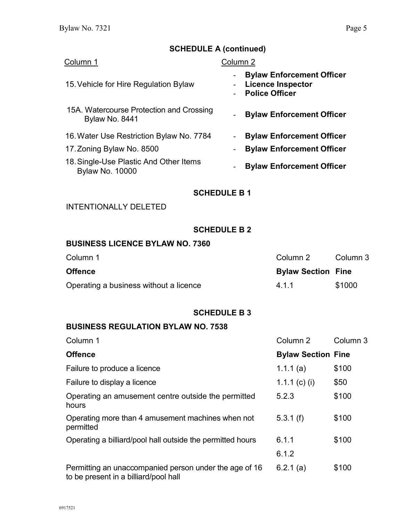# **SCHEDULE A (continued)**

| Column 1                                                         | Column <sub>2</sub>                                                                   |  |
|------------------------------------------------------------------|---------------------------------------------------------------------------------------|--|
| 15. Vehicle for Hire Regulation Bylaw                            | <b>Bylaw Enforcement Officer</b><br><b>Licence Inspector</b><br><b>Police Officer</b> |  |
| 15A. Watercourse Protection and Crossing<br>Bylaw No. 8441       | <b>Bylaw Enforcement Officer</b><br>$\overline{\phantom{a}}$                          |  |
| 16. Water Use Restriction Bylaw No. 7784                         | <b>Bylaw Enforcement Officer</b><br>٠                                                 |  |
| 17. Zoning Bylaw No. 8500                                        | <b>Bylaw Enforcement Officer</b>                                                      |  |
| 18. Single-Use Plastic And Other Items<br><b>Bylaw No. 10000</b> | <b>Bylaw Enforcement Officer</b><br>$\overline{\phantom{a}}$                          |  |
| <b>SCHEDULE B1</b>                                               |                                                                                       |  |
| <b>INTENTIONALLY DELETED</b>                                     |                                                                                       |  |

# **SCHEDULE B 2**

# **BUSINESS LICENCE BYLAW NO. 7360**

| Column 1                               | Column 2                  | Column 3 |
|----------------------------------------|---------------------------|----------|
| Offence                                | <b>Bylaw Section Fine</b> |          |
| Operating a business without a licence | 411                       | \$1000   |

#### **SCHEDULE B 3**

| Column 1                                                                                        | Column 2                  | Column 3 |
|-------------------------------------------------------------------------------------------------|---------------------------|----------|
| <b>Offence</b>                                                                                  | <b>Bylaw Section Fine</b> |          |
| Failure to produce a licence                                                                    | 1.1.1(a)                  | \$100    |
| Failure to display a licence                                                                    | 1.1.1 (c) (i)             | \$50     |
| Operating an amusement centre outside the permitted<br>hours                                    | 5.2.3                     | \$100    |
| Operating more than 4 amusement machines when not<br>permitted                                  | 5.3.1(f)                  | \$100    |
| Operating a billiard/pool hall outside the permitted hours                                      | 6.1.1                     | \$100    |
|                                                                                                 | 6.1.2                     |          |
| Permitting an unaccompanied person under the age of 16<br>to be present in a billiard/pool hall | 6.2.1(a)                  | \$100    |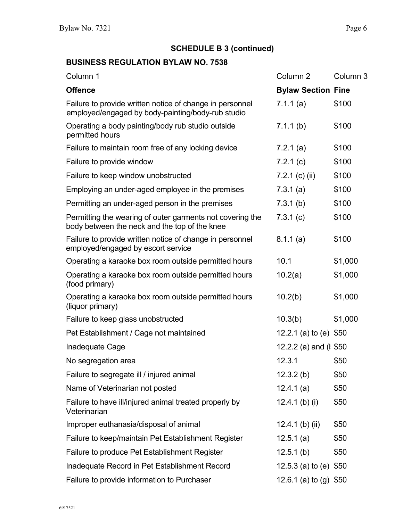# **SCHEDULE B 3 (continued)**

| Column 1                                                                                                      | Column <sub>2</sub>       | Column 3 |
|---------------------------------------------------------------------------------------------------------------|---------------------------|----------|
| <b>Offence</b>                                                                                                | <b>Bylaw Section Fine</b> |          |
| Failure to provide written notice of change in personnel<br>employed/engaged by body-painting/body-rub studio | 7.1.1(a)                  | \$100    |
| Operating a body painting/body rub studio outside<br>permitted hours                                          | 7.1.1(b)                  | \$100    |
| Failure to maintain room free of any locking device                                                           | 7.2.1(a)                  | \$100    |
| Failure to provide window                                                                                     | 7.2.1(c)                  | \$100    |
| Failure to keep window unobstructed                                                                           | $7.2.1$ (c) (ii)          | \$100    |
| Employing an under-aged employee in the premises                                                              | 7.3.1(a)                  | \$100    |
| Permitting an under-aged person in the premises                                                               | 7.3.1(b)                  | \$100    |
| Permitting the wearing of outer garments not covering the<br>body between the neck and the top of the knee    | 7.3.1(c)                  | \$100    |
| Failure to provide written notice of change in personnel<br>employed/engaged by escort service                | 8.1.1(a)                  | \$100    |
| Operating a karaoke box room outside permitted hours                                                          | 10.1                      | \$1,000  |
| Operating a karaoke box room outside permitted hours<br>(food primary)                                        | 10.2(a)                   | \$1,000  |
| Operating a karaoke box room outside permitted hours<br>(liquor primary)                                      | 10.2(b)                   | \$1,000  |
| Failure to keep glass unobstructed                                                                            | 10.3(b)                   | \$1,000  |
| Pet Establishment / Cage not maintained                                                                       | 12.2.1 (a) to (e) $$50$   |          |
| Inadequate Cage                                                                                               | 12.2.2 (a) and (I \$50    |          |
| No segregation area                                                                                           | 12.3.1                    | \$50     |
| Failure to segregate ill / injured animal                                                                     | 12.3.2(b)                 | \$50     |
| Name of Veterinarian not posted                                                                               | 12.4.1(a)                 | \$50     |
| Failure to have ill/injured animal treated properly by<br>Veterinarian                                        | 12.4.1 (b) (i)            | \$50     |
| Improper euthanasia/disposal of animal                                                                        | 12.4.1 (b) (ii)           | \$50     |
| Failure to keep/maintain Pet Establishment Register                                                           | 12.5.1(a)                 | \$50     |
| Failure to produce Pet Establishment Register                                                                 | 12.5.1(b)                 | \$50     |
| Inadequate Record in Pet Establishment Record                                                                 | 12.5.3 (a) to (e) $$50$   |          |
| Failure to provide information to Purchaser                                                                   | 12.6.1 (a) to (g) $$50$   |          |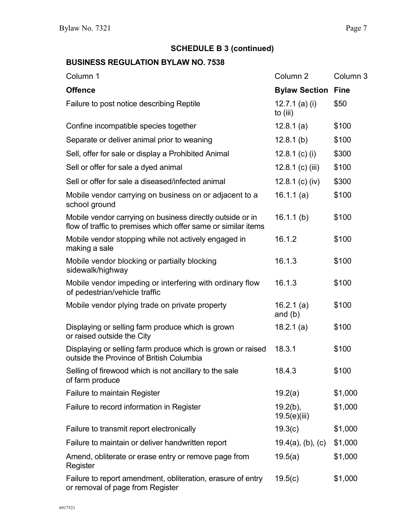# **SCHEDULE B 3 (continued)**

| Column 1                                                                                                                   | Column <sub>2</sub>              | Column <sub>3</sub> |
|----------------------------------------------------------------------------------------------------------------------------|----------------------------------|---------------------|
| <b>Offence</b>                                                                                                             | <b>Bylaw Section</b>             | <b>Fine</b>         |
| Failure to post notice describing Reptile                                                                                  | 12.7.1 $(a)$ $(i)$<br>to $(iii)$ | \$50                |
| Confine incompatible species together                                                                                      | 12.8.1(a)                        | \$100               |
| Separate or deliver animal prior to weaning                                                                                | 12.8.1(b)                        | \$100               |
| Sell, offer for sale or display a Prohibited Animal                                                                        | 12.8.1 (c) (i)                   | \$300               |
| Sell or offer for sale a dyed animal                                                                                       | 12.8.1 (c) (iii)                 | \$100               |
| Sell or offer for sale a diseased/infected animal                                                                          | 12.8.1 (c) (iv)                  | \$300               |
| Mobile vendor carrying on business on or adjacent to a<br>school ground                                                    | 16.1.1(a)                        | \$100               |
| Mobile vendor carrying on business directly outside or in<br>flow of traffic to premises which offer same or similar items | 16.1.1(b)                        | \$100               |
| Mobile vendor stopping while not actively engaged in<br>making a sale                                                      | 16.1.2                           | \$100               |
| Mobile vendor blocking or partially blocking<br>sidewalk/highway                                                           | 16.1.3                           | \$100               |
| Mobile vendor impeding or interfering with ordinary flow<br>of pedestrian/vehicle traffic                                  | 16.1.3                           | \$100               |
| Mobile vendor plying trade on private property                                                                             | 16.2.1 $(a)$<br>and $(b)$        | \$100               |
| Displaying or selling farm produce which is grown<br>or raised outside the City                                            | 18.2.1(a)                        | \$100               |
| Displaying or selling farm produce which is grown or raised<br>outside the Province of British Columbia                    | 18.3.1                           | \$100               |
| Selling of firewood which is not ancillary to the sale<br>of farm produce                                                  | 18.4.3                           | \$100               |
| <b>Failure to maintain Register</b>                                                                                        | 19.2(a)                          | \$1,000             |
| Failure to record information in Register                                                                                  | $19.2(b)$ ,<br>19.5(e)(iii)      | \$1,000             |
| Failure to transmit report electronically                                                                                  | 19.3(c)                          | \$1,000             |
| Failure to maintain or deliver handwritten report                                                                          | $19.4(a)$ , (b), (c)             | \$1,000             |
| Amend, obliterate or erase entry or remove page from<br>Register                                                           | 19.5(a)                          | \$1,000             |
| Failure to report amendment, obliteration, erasure of entry<br>or removal of page from Register                            | 19.5(c)                          | \$1,000             |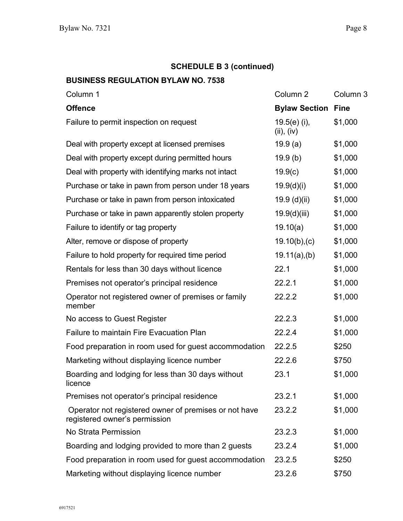# **SCHEDULE B 3 (continued)**

| Column 1                                                                               | Column <sub>2</sub>          | Column 3    |
|----------------------------------------------------------------------------------------|------------------------------|-------------|
| <b>Offence</b>                                                                         | <b>Bylaw Section</b>         | <b>Fine</b> |
| Failure to permit inspection on request                                                | $19.5(e)$ (i),<br>(ii), (iv) | \$1,000     |
| Deal with property except at licensed premises                                         | 19.9(a)                      | \$1,000     |
| Deal with property except during permitted hours                                       | 19.9(b)                      | \$1,000     |
| Deal with property with identifying marks not intact                                   | 19.9(c)                      | \$1,000     |
| Purchase or take in pawn from person under 18 years                                    | 19.9(d)(i)                   | \$1,000     |
| Purchase or take in pawn from person intoxicated                                       | 19.9(d)(ii)                  | \$1,000     |
| Purchase or take in pawn apparently stolen property                                    | 19.9(d)(iii)                 | \$1,000     |
| Failure to identify or tag property                                                    | 19.10(a)                     | \$1,000     |
| Alter, remove or dispose of property                                                   | 19.10(b),(c)                 | \$1,000     |
| Failure to hold property for required time period                                      | $19.11(a)$ , (b)             | \$1,000     |
| Rentals for less than 30 days without licence                                          | 22.1                         | \$1,000     |
| Premises not operator's principal residence                                            | 22.2.1                       | \$1,000     |
| Operator not registered owner of premises or family<br>member                          | 22.2.2                       | \$1,000     |
| No access to Guest Register                                                            | 22.2.3                       | \$1,000     |
| <b>Failure to maintain Fire Evacuation Plan</b>                                        | 22.2.4                       | \$1,000     |
| Food preparation in room used for guest accommodation                                  | 22.2.5                       | \$250       |
| Marketing without displaying licence number                                            | 22.2.6                       | \$750       |
| Boarding and lodging for less than 30 days without<br>licence                          | 23.1                         | \$1,000     |
| Premises not operator's principal residence                                            | 23.2.1                       | \$1,000     |
| Operator not registered owner of premises or not have<br>registered owner's permission | 23.2.2                       | \$1,000     |
| No Strata Permission                                                                   | 23.2.3                       | \$1,000     |
| Boarding and lodging provided to more than 2 guests                                    | 23.2.4                       | \$1,000     |
| Food preparation in room used for guest accommodation                                  | 23.2.5                       | \$250       |
| Marketing without displaying licence number                                            | 23.2.6                       | \$750       |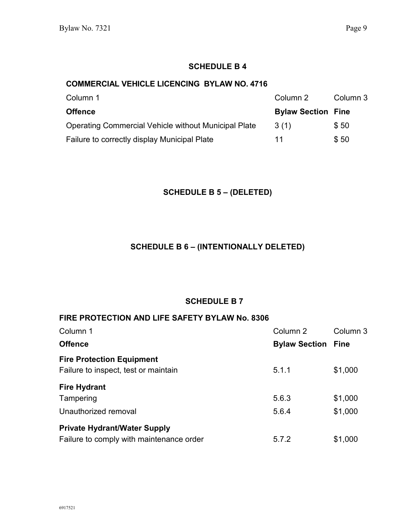#### **COMMERCIAL VEHICLE LICENCING BYLAW NO. 4716**

| Column 1                                             | Column 2                  | Column 3 |
|------------------------------------------------------|---------------------------|----------|
| <b>Offence</b>                                       | <b>Bylaw Section Fine</b> |          |
| Operating Commercial Vehicle without Municipal Plate | 3(1)                      | \$50     |
| Failure to correctly display Municipal Plate         | 11                        | \$50     |

#### **SCHEDULE B 5 – (DELETED)**

### **SCHEDULE B 6 – (INTENTIONALLY DELETED)**

#### **SCHEDULE B 7**

#### **FIRE PROTECTION AND LIFE SAFETY BYLAW No. 8306**

| Column 1                                 | Column 2             | Column 3    |
|------------------------------------------|----------------------|-------------|
| <b>Offence</b>                           | <b>Bylaw Section</b> | <b>Fine</b> |
| <b>Fire Protection Equipment</b>         |                      |             |
| Failure to inspect, test or maintain     | 5.1.1                | \$1,000     |
| <b>Fire Hydrant</b>                      |                      |             |
| Tampering                                | 5.6.3                | \$1,000     |
| Unauthorized removal                     | 5.6.4                | \$1,000     |
| <b>Private Hydrant/Water Supply</b>      |                      |             |
| Failure to comply with maintenance order | 5.7.2                | \$1,000     |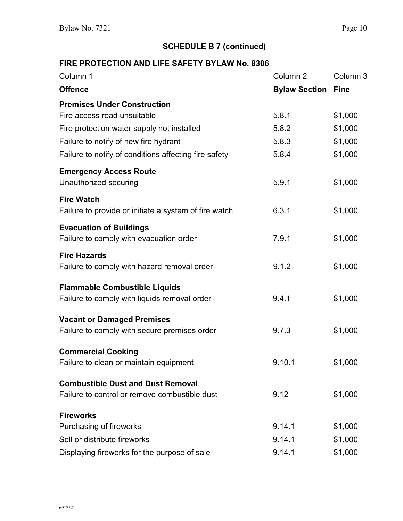**SCHEDULE B 7 (continued)**

# **FIRE PROTECTION AND LIFE SAFETY BYLAW No. 8306**

| Column 1                                              | Column <sub>2</sub>  | Column <sub>3</sub> |
|-------------------------------------------------------|----------------------|---------------------|
| <b>Offence</b>                                        | <b>Bylaw Section</b> | <b>Fine</b>         |
| <b>Premises Under Construction</b>                    |                      |                     |
| Fire access road unsuitable                           | 5.8.1                | \$1,000             |
| Fire protection water supply not installed            | 5.8.2                | \$1,000             |
| Failure to notify of new fire hydrant                 | 5.8.3                | \$1,000             |
| Failure to notify of conditions affecting fire safety | 5.8.4                | \$1,000             |
| <b>Emergency Access Route</b>                         |                      |                     |
| Unauthorized securing                                 | 5.9.1                | \$1,000             |
| <b>Fire Watch</b>                                     |                      |                     |
| Failure to provide or initiate a system of fire watch | 6.3.1                | \$1,000             |
| <b>Evacuation of Buildings</b>                        |                      |                     |
| Failure to comply with evacuation order               | 7.9.1                | \$1,000             |
| <b>Fire Hazards</b>                                   |                      |                     |
| Failure to comply with hazard removal order           | 9.1.2                | \$1,000             |
| <b>Flammable Combustible Liquids</b>                  |                      |                     |
| Failure to comply with liquids removal order          | 9.4.1                | \$1,000             |
| <b>Vacant or Damaged Premises</b>                     |                      |                     |
| Failure to comply with secure premises order          | 9.7.3                | \$1,000             |
| <b>Commercial Cooking</b>                             |                      |                     |
| Failure to clean or maintain equipment                | 9.10.1               | \$1,000             |
| <b>Combustible Dust and Dust Removal</b>              |                      |                     |
| Failure to control or remove combustible dust         | 9.12                 | \$1,000             |
| <b>Fireworks</b>                                      |                      |                     |
| Purchasing of fireworks                               | 9.14.1               | \$1,000             |
| Sell or distribute fireworks                          | 9.14.1               | \$1,000             |
| Displaying fireworks for the purpose of sale          | 9.14.1               | \$1,000             |
|                                                       |                      |                     |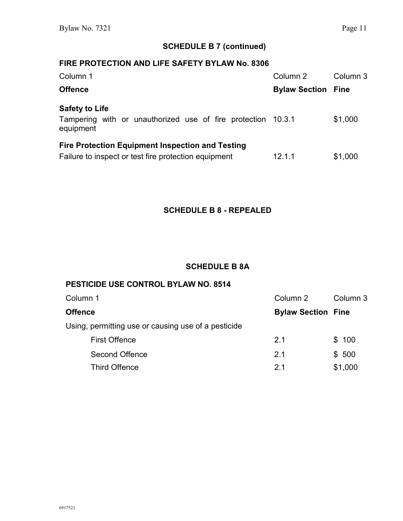#### **SCHEDULE B 7 (continued)**

## **FIRE PROTECTION AND LIFE SAFETY BYLAW No. 8306**

| Column 1                                                                  | Column 2                  | Column 3 |
|---------------------------------------------------------------------------|---------------------------|----------|
| <b>Offence</b>                                                            | <b>Bylaw Section Fine</b> |          |
| <b>Safety to Life</b>                                                     |                           |          |
| Tampering with or unauthorized use of fire protection 10.3.1<br>equipment |                           | \$1,000  |
| <b>Fire Protection Equipment Inspection and Testing</b>                   |                           |          |
| Failure to inspect or test fire protection equipment                      | 12.1.1                    | \$1,000  |

### **SCHEDULE B 8 - REPEALED**

#### **SCHEDULE B 8A**

# **PESTICIDE USE CONTROL BYLAW NO. 8514**

| Column 1                                            | Column 2                  | Column 3 |
|-----------------------------------------------------|---------------------------|----------|
| Offence                                             | <b>Bylaw Section Fine</b> |          |
| Using, permitting use or causing use of a pesticide |                           |          |
| <b>First Offence</b>                                | 2.1                       | \$100    |
| <b>Second Offence</b>                               | 2.1                       | \$500    |
| <b>Third Offence</b>                                | 21                        | \$1,000  |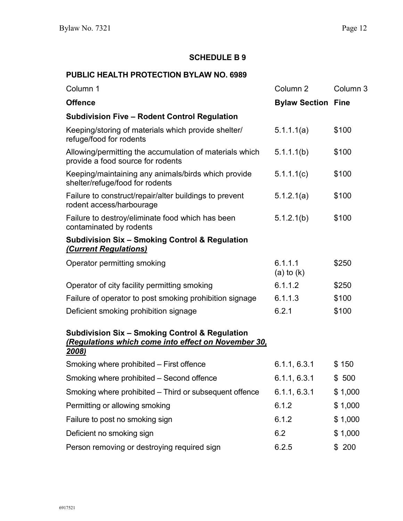#### **PUBLIC HEALTH PROTECTION BYLAW NO. 6989**

| Column 1                                                                                     | Column <sub>2</sub>       | Column 3 |
|----------------------------------------------------------------------------------------------|---------------------------|----------|
| <b>Offence</b>                                                                               | <b>Bylaw Section Fine</b> |          |
| <b>Subdivision Five - Rodent Control Regulation</b>                                          |                           |          |
| Keeping/storing of materials which provide shelter/<br>refuge/food for rodents               | 5.1.1(1a)                 | \$100    |
| Allowing/permitting the accumulation of materials which<br>provide a food source for rodents | $5.1.1($ b $)$            | \$100    |
| Keeping/maintaining any animals/birds which provide<br>shelter/refuge/food for rodents       | 5.1.1(0)                  | \$100    |
| Failure to construct/repair/alter buildings to prevent<br>rodent access/harbourage           | 5.1.2.1(a)                | \$100    |
| Failure to destroy/eliminate food which has been<br>contaminated by rodents                  | 5.1.2.1(b)                | \$100    |
| <b>Subdivision Six - Smoking Control &amp; Regulation</b><br><b>(Current Regulations)</b>    |                           |          |
| Operator permitting smoking                                                                  | 6.1.1.1<br>$(a)$ to $(k)$ | \$250    |
| Operator of city facility permitting smoking                                                 | 6.1.1.2                   | \$250    |
| Failure of operator to post smoking prohibition signage                                      | 6.1.1.3                   | \$100    |
| Deficient smoking prohibition signage                                                        | 6.2.1                     | \$100    |

#### **Subdivision Six – Smoking Control & Regulation**  *(Regulations which come into effect on November 30, 2008)*

| Smoking where prohibited – First offence               | 6.1.1, 6.3.1 | \$150   |
|--------------------------------------------------------|--------------|---------|
| Smoking where prohibited – Second offence              | 6.1.1, 6.3.1 | \$500   |
| Smoking where prohibited – Third or subsequent offence | 6.1.1, 6.3.1 | \$1,000 |
| Permitting or allowing smoking                         | 6.1.2        | \$1,000 |
| Failure to post no smoking sign                        | 6.1.2        | \$1,000 |
| Deficient no smoking sign                              | 6.2          | \$1,000 |
| Person removing or destroying required sign            | 6.2.5        | \$200   |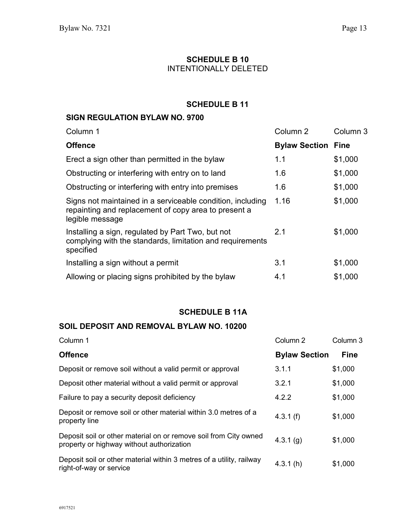### **SCHEDULE B 10** INTENTIONALLY DELETED

# **SCHEDULE B 11**

# **SIGN REGULATION BYLAW NO. 9700**

| Column 1                                                                                                                              | Column <sub>2</sub>  | Column 3    |
|---------------------------------------------------------------------------------------------------------------------------------------|----------------------|-------------|
| <b>Offence</b>                                                                                                                        | <b>Bylaw Section</b> | <b>Fine</b> |
| Erect a sign other than permitted in the bylaw                                                                                        | 1.1                  | \$1,000     |
| Obstructing or interfering with entry on to land                                                                                      | 1.6                  | \$1,000     |
| Obstructing or interfering with entry into premises                                                                                   | 1.6                  | \$1,000     |
| Signs not maintained in a serviceable condition, including<br>repainting and replacement of copy area to present a<br>legible message | 1.16                 | \$1,000     |
| Installing a sign, regulated by Part Two, but not<br>complying with the standards, limitation and requirements<br>specified           | 2.1                  | \$1,000     |
| Installing a sign without a permit                                                                                                    | 3.1                  | \$1,000     |
| Allowing or placing signs prohibited by the bylaw                                                                                     | 4.1                  | \$1,000     |

#### **SCHEDULE B 11A**

# **SOIL DEPOSIT AND REMOVAL BYLAW NO. 10200**

| Column 1                                                                                                      | Column 2             | Column <sub>3</sub> |
|---------------------------------------------------------------------------------------------------------------|----------------------|---------------------|
| <b>Offence</b>                                                                                                | <b>Bylaw Section</b> | <b>Fine</b>         |
| Deposit or remove soil without a valid permit or approval                                                     | 3.1.1                | \$1,000             |
| Deposit other material without a valid permit or approval                                                     | 3.2.1                | \$1,000             |
| Failure to pay a security deposit deficiency                                                                  | 4.2.2                | \$1,000             |
| Deposit or remove soil or other material within 3.0 metres of a<br>property line                              | 4.3.1(f)             | \$1,000             |
| Deposit soil or other material on or remove soil from City owned<br>property or highway without authorization | 4.3.1(g)             | \$1,000             |
| Deposit soil or other material within 3 metres of a utility, railway<br>right-of-way or service               | 4.3.1(h)             | \$1,000             |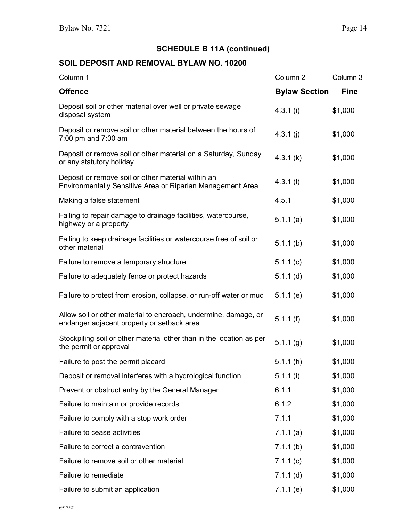# **SCHEDULE B 11A (continued)**

# **SOIL DEPOSIT AND REMOVAL BYLAW NO. 10200**

| Column 1                                                                                                         | Column <sub>2</sub>  | Column <sub>3</sub> |
|------------------------------------------------------------------------------------------------------------------|----------------------|---------------------|
| <b>Offence</b>                                                                                                   | <b>Bylaw Section</b> | <b>Fine</b>         |
| Deposit soil or other material over well or private sewage<br>disposal system                                    | 4.3.1(i)             | \$1,000             |
| Deposit or remove soil or other material between the hours of<br>7:00 pm and 7:00 am                             | 4.3.1 $(i)$          | \$1,000             |
| Deposit or remove soil or other material on a Saturday, Sunday<br>or any statutory holiday                       | 4.3.1(k)             | \$1,000             |
| Deposit or remove soil or other material within an<br>Environmentally Sensitive Area or Riparian Management Area | $4.3.1$ (l)          | \$1,000             |
| Making a false statement                                                                                         | 4.5.1                | \$1,000             |
| Failing to repair damage to drainage facilities, watercourse,<br>highway or a property                           | 5.1.1(a)             | \$1,000             |
| Failing to keep drainage facilities or watercourse free of soil or<br>other material                             | $5.1.1$ (b)          | \$1,000             |
| Failure to remove a temporary structure                                                                          | 5.1.1(c)             | \$1,000             |
| Failure to adequately fence or protect hazards                                                                   | $5.1.1$ (d)          | \$1,000             |
| Failure to protect from erosion, collapse, or run-off water or mud                                               | 5.1.1(e)             | \$1,000             |
| Allow soil or other material to encroach, undermine, damage, or<br>endanger adjacent property or setback area    | 5.1.1(f)             | \$1,000             |
| Stockpiling soil or other material other than in the location as per<br>the permit or approval                   | 5.1.1(g)             | \$1,000             |
| Failure to post the permit placard                                                                               | 5.1.1(h)             | \$1,000             |
| Deposit or removal interferes with a hydrological function                                                       | 5.1.1(i)             | \$1,000             |
| Prevent or obstruct entry by the General Manager                                                                 | 6.1.1                | \$1,000             |
| Failure to maintain or provide records                                                                           | 6.1.2                | \$1,000             |
| Failure to comply with a stop work order                                                                         | 7.1.1                | \$1,000             |
| Failure to cease activities                                                                                      | 7.1.1(a)             | \$1,000             |
| Failure to correct a contravention                                                                               | 7.1.1(b)             | \$1,000             |
| Failure to remove soil or other material                                                                         | 7.1.1(c)             | \$1,000             |
| Failure to remediate                                                                                             | $7.1.1$ (d)          | \$1,000             |
| Failure to submit an application                                                                                 | 7.1.1(e)             | \$1,000             |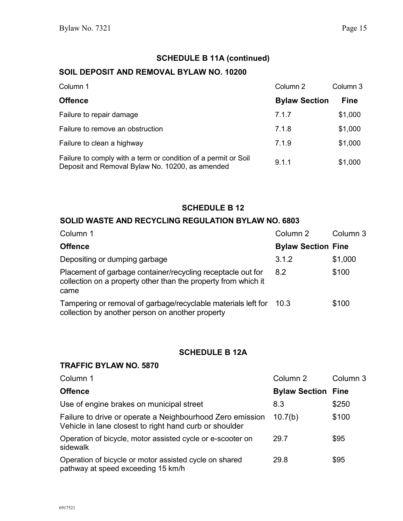# **SCHEDULE B 11A (continued)**

#### **SOIL DEPOSIT AND REMOVAL BYLAW NO. 10200**

| Column 1                                                                                                          | Column 2             | Column 3    |
|-------------------------------------------------------------------------------------------------------------------|----------------------|-------------|
| <b>Offence</b>                                                                                                    | <b>Bylaw Section</b> | <b>Fine</b> |
| Failure to repair damage                                                                                          | 7.1.7                | \$1,000     |
| Failure to remove an obstruction                                                                                  | 7.1.8                | \$1,000     |
| Failure to clean a highway                                                                                        | 7.1.9                | \$1,000     |
| Failure to comply with a term or condition of a permit or Soil<br>Deposit and Removal Bylaw No. 10200, as amended | 9.1.1                | \$1,000     |

#### **SCHEDULE B 12**

#### **SOLID WASTE AND RECYCLING REGULATION BYLAW NO. 6803**

| Column 1                                                                                                                              | Column 2                  | Column 3 |
|---------------------------------------------------------------------------------------------------------------------------------------|---------------------------|----------|
| <b>Offence</b>                                                                                                                        | <b>Bylaw Section Fine</b> |          |
| Depositing or dumping garbage                                                                                                         | 3.1.2                     | \$1,000  |
| Placement of garbage container/recycling receptacle out for<br>collection on a property other than the property from which it<br>came | 8.2                       | \$100    |
| Tampering or removal of garbage/recyclable materials left for<br>collection by another person on another property                     | -10.3                     | \$100    |

# **SCHEDULE B 12A**

### **TRAFFIC BYLAW NO. 5870**

| Column 1                                                                                                            | Column 2                  | Column 3 |
|---------------------------------------------------------------------------------------------------------------------|---------------------------|----------|
| <b>Offence</b>                                                                                                      | <b>Bylaw Section Fine</b> |          |
| Use of engine brakes on municipal street                                                                            | 8.3                       | \$250    |
| Failure to drive or operate a Neighbourhood Zero emission<br>Vehicle in lane closest to right hand curb or shoulder | 10.7(b)                   | \$100    |
| Operation of bicycle, motor assisted cycle or e-scooter on<br>sidewalk                                              | 29.7                      | \$95     |
| Operation of bicycle or motor assisted cycle on shared<br>pathway at speed exceeding 15 km/h                        | 29.8                      | \$95     |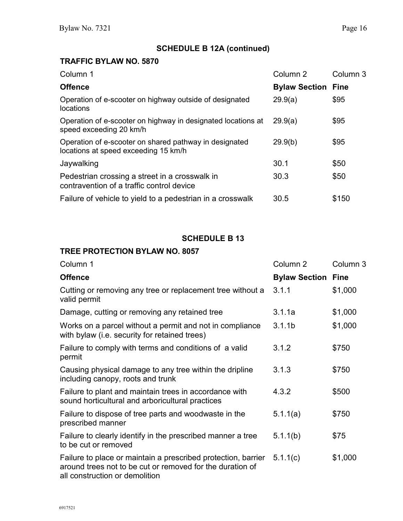# **TRAFFIC BYLAW NO. 5870**

| Column 1                                                                                       | Column <sub>2</sub>       | Column 3 |
|------------------------------------------------------------------------------------------------|---------------------------|----------|
| <b>Offence</b>                                                                                 | <b>Bylaw Section Fine</b> |          |
| Operation of e-scooter on highway outside of designated<br>locations                           | 29.9(a)                   | \$95     |
| Operation of e-scooter on highway in designated locations at<br>speed exceeding 20 km/h        | 29.9(a)                   | \$95     |
| Operation of e-scooter on shared pathway in designated<br>locations at speed exceeding 15 km/h | 29.9(b)                   | \$95     |
| Jaywalking                                                                                     | 30.1                      | \$50     |
| Pedestrian crossing a street in a crosswalk in<br>contravention of a traffic control device    | 30.3                      | \$50     |
| Failure of vehicle to yield to a pedestrian in a crosswalk                                     | 30.5                      | \$150    |

# **SCHEDULE B 13**

# **TREE PROTECTION BYLAW NO. 8057**

| Column 1                                                                                                                                                     | Column <sub>2</sub>       | Column <sub>3</sub> |
|--------------------------------------------------------------------------------------------------------------------------------------------------------------|---------------------------|---------------------|
| <b>Offence</b>                                                                                                                                               | <b>Bylaw Section Fine</b> |                     |
| Cutting or removing any tree or replacement tree without a<br>valid permit                                                                                   | 3.1.1                     | \$1,000             |
| Damage, cutting or removing any retained tree                                                                                                                | 3.1.1a                    | \$1,000             |
| Works on a parcel without a permit and not in compliance<br>with bylaw (i.e. security for retained trees)                                                    | 3.1.1 <sub>b</sub>        | \$1,000             |
| Failure to comply with terms and conditions of a valid<br>permit                                                                                             | 3.1.2                     | \$750               |
| Causing physical damage to any tree within the dripline<br>including canopy, roots and trunk                                                                 | 3.1.3                     | \$750               |
| Failure to plant and maintain trees in accordance with<br>sound horticultural and arboricultural practices                                                   | 4.3.2                     | \$500               |
| Failure to dispose of tree parts and woodwaste in the<br>prescribed manner                                                                                   | 5.1.1(a)                  | \$750               |
| Failure to clearly identify in the prescribed manner a tree<br>to be cut or removed                                                                          | 5.1.1(b)                  | \$75                |
| Failure to place or maintain a prescribed protection, barrier<br>around trees not to be cut or removed for the duration of<br>all construction or demolition | 5.1.1(c)                  | \$1,000             |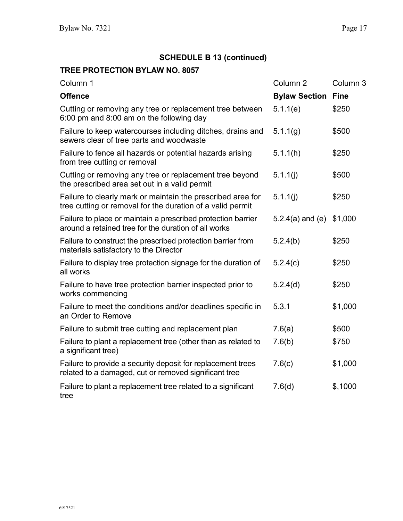# **SCHEDULE B 13 (continued)**

# **TREE PROTECTION BYLAW NO. 8057**

| Column 1                                                                                                                  | Column <sub>2</sub>  | Column <sub>3</sub> |
|---------------------------------------------------------------------------------------------------------------------------|----------------------|---------------------|
| <b>Offence</b>                                                                                                            | <b>Bylaw Section</b> | <b>Fine</b>         |
| Cutting or removing any tree or replacement tree between<br>6:00 pm and 8:00 am on the following day                      | 5.1.1(e)             | \$250               |
| Failure to keep watercourses including ditches, drains and<br>sewers clear of tree parts and woodwaste                    | 5.1.1(g)             | \$500               |
| Failure to fence all hazards or potential hazards arising<br>from tree cutting or removal                                 | 5.1.1(h)             | \$250               |
| Cutting or removing any tree or replacement tree beyond<br>the prescribed area set out in a valid permit                  | 5.1.1(j)             | \$500               |
| Failure to clearly mark or maintain the prescribed area for<br>tree cutting or removal for the duration of a valid permit | 5.1.1(i)             | \$250               |
| Failure to place or maintain a prescribed protection barrier<br>around a retained tree for the duration of all works      | $5.2.4(a)$ and (e)   | \$1,000             |
| Failure to construct the prescribed protection barrier from<br>materials satisfactory to the Director                     | 5.2.4(b)             | \$250               |
| Failure to display tree protection signage for the duration of<br>all works                                               | 5.2.4(c)             | \$250               |
| Failure to have tree protection barrier inspected prior to<br>works commencing                                            | 5.2.4(d)             | \$250               |
| Failure to meet the conditions and/or deadlines specific in<br>an Order to Remove                                         | 5.3.1                | \$1,000             |
| Failure to submit tree cutting and replacement plan                                                                       | 7.6(a)               | \$500               |
| Failure to plant a replacement tree (other than as related to<br>a significant tree)                                      | 7.6(b)               | \$750               |
| Failure to provide a security deposit for replacement trees<br>related to a damaged, cut or removed significant tree      | 7.6(c)               | \$1,000             |
| Failure to plant a replacement tree related to a significant<br>tree                                                      | 7.6(d)               | \$,1000             |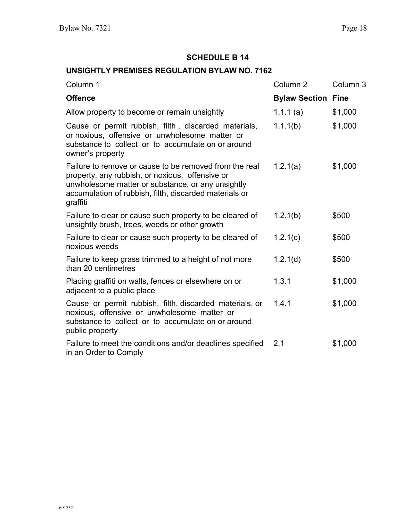# **UNSIGHTLY PREMISES REGULATION BYLAW NO. 7162**

| Column 1                                                                                                                                                                                                                             | Column <sub>2</sub>       | Column <sub>3</sub> |
|--------------------------------------------------------------------------------------------------------------------------------------------------------------------------------------------------------------------------------------|---------------------------|---------------------|
| <b>Offence</b>                                                                                                                                                                                                                       | <b>Bylaw Section Fine</b> |                     |
| Allow property to become or remain unsightly                                                                                                                                                                                         | 1.1.1(a)                  | \$1,000             |
| Cause or permit rubbish, filth, discarded materials,<br>or noxious, offensive or unwholesome matter or<br>substance to collect or to accumulate on or around<br>owner's property                                                     | 1.1(1b)                   | \$1,000             |
| Failure to remove or cause to be removed from the real<br>property, any rubbish, or noxious, offensive or<br>unwholesome matter or substance, or any unsightly<br>accumulation of rubbish, filth, discarded materials or<br>graffiti | 1.2.1(a)                  | \$1,000             |
| Failure to clear or cause such property to be cleared of<br>unsightly brush, trees, weeds or other growth                                                                                                                            | 1.2.1(b)                  | \$500               |
| Failure to clear or cause such property to be cleared of<br>noxious weeds                                                                                                                                                            | 1.2.1(c)                  | \$500               |
| Failure to keep grass trimmed to a height of not more<br>than 20 centimetres                                                                                                                                                         | 1.2.1(d)                  | \$500               |
| Placing graffiti on walls, fences or elsewhere on or<br>adjacent to a public place                                                                                                                                                   | 1.3.1                     | \$1,000             |
| Cause or permit rubbish, filth, discarded materials, or<br>noxious, offensive or unwholesome matter or<br>substance to collect or to accumulate on or around<br>public property                                                      | 1.4.1                     | \$1,000             |
| Failure to meet the conditions and/or deadlines specified<br>in an Order to Comply                                                                                                                                                   | 2.1                       | \$1,000             |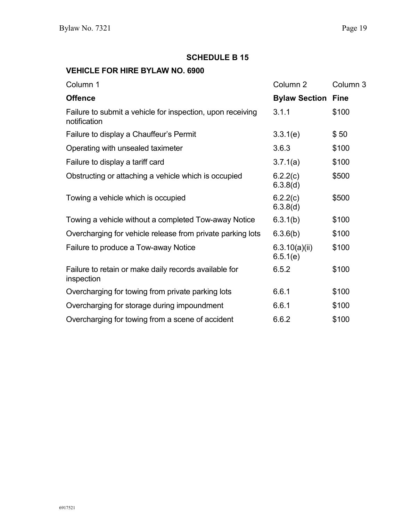### **VEHICLE FOR HIRE BYLAW NO. 6900**

| Column 1                                                                   | Column <sub>2</sub>       | Column <sub>3</sub> |
|----------------------------------------------------------------------------|---------------------------|---------------------|
| <b>Offence</b>                                                             | <b>Bylaw Section Fine</b> |                     |
| Failure to submit a vehicle for inspection, upon receiving<br>notification | 3.1.1                     | \$100               |
| Failure to display a Chauffeur's Permit                                    | 3.3.1(e)                  | \$50                |
| Operating with unsealed taximeter                                          | 3.6.3                     | \$100               |
| Failure to display a tariff card                                           | 3.7.1(a)                  | \$100               |
| Obstructing or attaching a vehicle which is occupied                       | 6.2.2(c)<br>6.3.8(d)      | \$500               |
| Towing a vehicle which is occupied                                         | 6.2.2(c)<br>6.3.8(d)      | \$500               |
| Towing a vehicle without a completed Tow-away Notice                       | 6.3.1(b)                  | \$100               |
| Overcharging for vehicle release from private parking lots                 | 6.3.6(b)                  | \$100               |
| Failure to produce a Tow-away Notice                                       | 6.3.10(a)(ii)<br>6.5.1(e) | \$100               |
| Failure to retain or make daily records available for<br>inspection        | 6.5.2                     | \$100               |
| Overcharging for towing from private parking lots                          | 6.6.1                     | \$100               |
| Overcharging for storage during impoundment                                | 6.6.1                     | \$100               |
| Overcharging for towing from a scene of accident                           | 6.6.2                     | \$100               |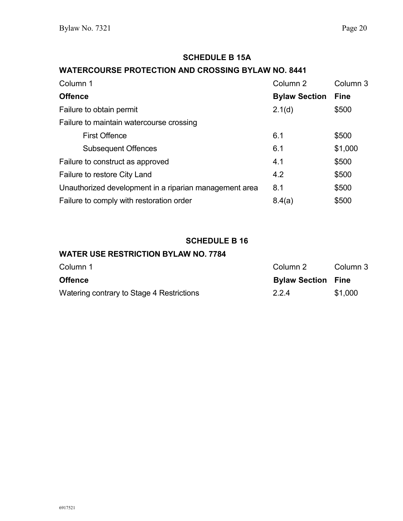# **SCHEDULE B 15A**

### **WATERCOURSE PROTECTION AND CROSSING BYLAW NO. 8441**

| Column 1                                               | Column 2             | Column 3    |
|--------------------------------------------------------|----------------------|-------------|
| <b>Offence</b>                                         | <b>Bylaw Section</b> | <b>Fine</b> |
| Failure to obtain permit                               | 2.1(d)               | \$500       |
| Failure to maintain watercourse crossing               |                      |             |
| <b>First Offence</b>                                   | 6.1                  | \$500       |
| <b>Subsequent Offences</b>                             | 6.1                  | \$1,000     |
| Failure to construct as approved                       | 4.1                  | \$500       |
| Failure to restore City Land                           | 4.2                  | \$500       |
| Unauthorized development in a riparian management area | 8.1                  | \$500       |
| Failure to comply with restoration order               | 8.4(a)               | \$500       |

#### **SCHEDULE B 16**

#### **WATER USE RESTRICTION BYLAW NO. 7784**

| Column 1                                  | Column 2                  | Column 3 |
|-------------------------------------------|---------------------------|----------|
| <b>Offence</b>                            | <b>Bylaw Section Fine</b> |          |
| Watering contrary to Stage 4 Restrictions | 2.2.4                     | \$1,000  |